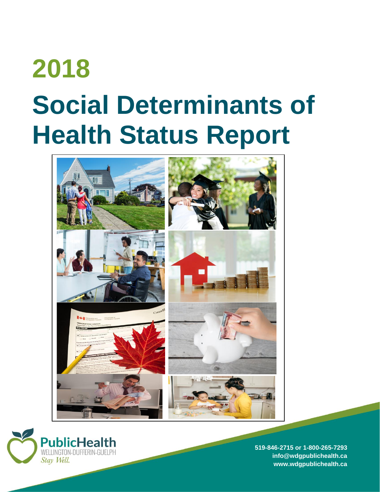# **2018 Social Determinants of Health Status Report**





**519-846-2715 or 1-800-265-7293 [info@wdgpublichealth.ca](mailto:info@wdgpublichealth.ca) www.wdgpublichealth.ca**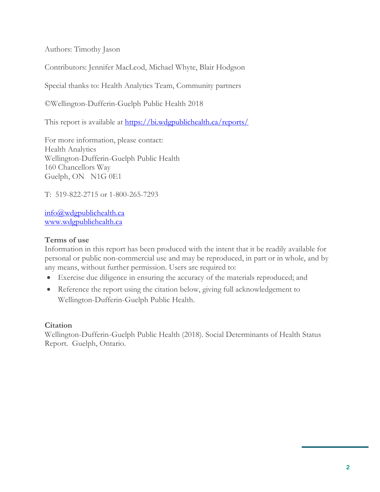Authors: Timothy Jason

Contributors: Jennifer MacLeod, Michael Whyte, Blair Hodgson

Special thanks to: Health Analytics Team, Community partners

©Wellington-Dufferin-Guelph Public Health 2018

This report is available at <https://bi.wdgpublichealth.ca/reports/>

For more information, please contact: Health Analytics Wellington-Dufferin-Guelph Public Health 160 Chancellors Way Guelph, ON N1G 0E1

T: 519-822-2715 or 1-800-265-7293

[info@wdgpublichealth.ca](mailto:info@wdgpublichealth.ca) [www.wdgpublichealth.ca](http://www.wdgpublichealth.ca/)

#### **Terms of use**

Information in this report has been produced with the intent that it be readily available for personal or public non-commercial use and may be reproduced, in part or in whole, and by any means, without further permission. Users are required to:

- Exercise due diligence in ensuring the accuracy of the materials reproduced; and
- Reference the report using the citation below, giving full acknowledgement to Wellington-Dufferin-Guelph Public Health.

#### **Citation**

Wellington-Dufferin-Guelph Public Health (2018). Social Determinants of Health Status Report. Guelph, Ontario.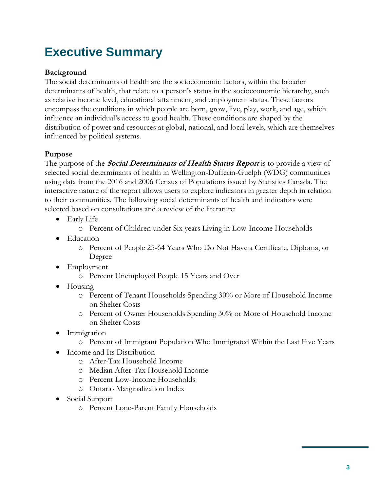# **Executive Summary**

### **Background**

The social determinants of health are the socioeconomic factors, within the broader determinants of health, that relate to a person's status in the socioeconomic hierarchy, such as relative income level, educational attainment, and employment status. These factors encompass the conditions in which people are born, grow, live, play, work, and age, which influence an individual's access to good health. These conditions are shaped by the distribution of power and resources at global, national, and local levels, which are themselves influenced by political systems.

# **Purpose**

The purpose of the **Social Determinants of Health Status Report** is to provide a view of selected social determinants of health in Wellington-Dufferin-Guelph (WDG) communities using data from the 2016 and 2006 Census of Populations issued by Statistics Canada. The interactive nature of the report allows users to explore indicators in greater depth in relation to their communities. The following social determinants of health and indicators were selected based on consultations and a review of the literature:

- Early Life
	- o Percent of Children under Six years Living in Low-Income Households
- Education
	- o Percent of People 25-64 Years Who Do Not Have a Certificate, Diploma, or Degree
- Employment
	- o Percent Unemployed People 15 Years and Over
- $\bullet$  Housing
	- o Percent of Tenant Households Spending 30% or More of Household Income on Shelter Costs
	- o Percent of Owner Households Spending 30% or More of Household Income on Shelter Costs
- Immigration
	- o Percent of Immigrant Population Who Immigrated Within the Last Five Years
- Income and Its Distribution
	- o After-Tax Household Income
	- o Median After-Tax Household Income
	- o Percent Low-Income Households
	- o Ontario Marginalization Index
- Social Support
	- o Percent Lone-Parent Family Households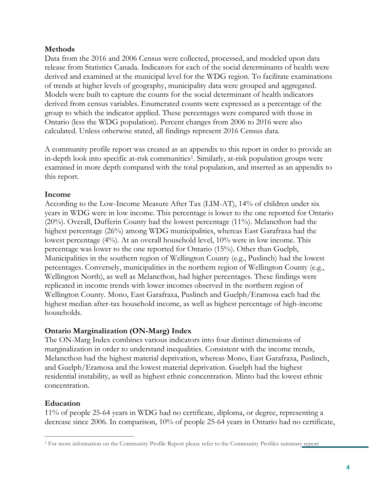#### **Methods**

Data from the 2016 and 2006 Census were collected, processed, and modeled upon data release from Statistics Canada. Indicators for each of the social determinants of health were derived and examined at the municipal level for the WDG region. To facilitate examinations of trends at higher levels of geography, municipality data were grouped and aggregated. Models were built to capture the counts for the social determinant of health indicators derived from census variables. Enumerated counts were expressed as a percentage of the group to which the indicator applied. These percentages were compared with those in Ontario (less the WDG population). Percent changes from 2006 to 2016 were also calculated. Unless otherwise stated, all findings represent 2016 Census data.

A community profile report was created as an appendix to this report in order to provide an in-depth look into specific at-risk communities<sup>1</sup>. Similarly, at-risk population groups were examined in more depth compared with the total population, and inserted as an appendix to this report.

#### **Income**

According to the Low-Income Measure After Tax (LIM-AT), 14% of children under six years in WDG were in low income. This percentage is lower to the one reported for Ontario (20%). Overall, Dufferin County had the lowest percentage (11%). Melancthon had the highest percentage (26%) among WDG municipalities, whereas East Garafraxa had the lowest percentage (4%). At an overall household level, 10% were in low income. This percentage was lower to the one reported for Ontario (15%). Other than Guelph, Municipalities in the southern region of Wellington County (e.g., Puslinch) had the lowest percentages. Conversely, municipalities in the northern region of Wellington County (e.g., Wellington North), as well as Melancthon, had higher percentages. These findings were replicated in income trends with lower incomes observed in the northern region of Wellington County. Mono, East Garafraxa, Puslinch and Guelph/Eramosa each had the highest median after-tax household income, as well as highest percentage of high-income households.

#### **Ontario Marginalization (ON-Marg) Index**

The ON-Marg Index combines various indicators into four distinct dimensions of marginalization in order to understand inequalities. Consistent with the income trends, Melancthon had the highest material deprivation, whereas Mono, East Garafraxa, Puslinch, and Guelph/Eramosa and the lowest material deprivation. Guelph had the highest residential instability, as well as highest ethnic concentration. Minto had the lowest ethnic concentration.

#### **Education**

11% of people 25-64 years in WDG had no certificate, diploma, or degree, representing a decrease since 2006. In comparison, 10% of people 25-64 years in Ontario had no certificate,

 $\overline{a}$ <sup>1</sup> For more information on the Community Profile Report please refer to the Community Profiles summary report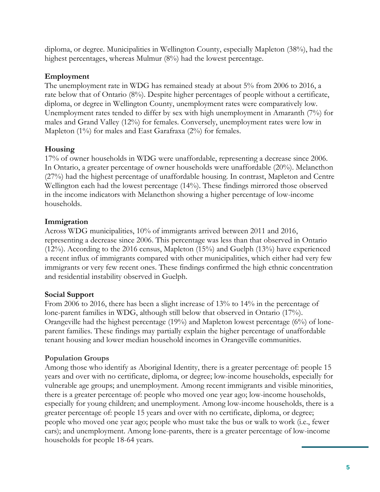diploma, or degree. Municipalities in Wellington County, especially Mapleton (38%), had the highest percentages, whereas Mulmur (8%) had the lowest percentage.

#### **Employment**

The unemployment rate in WDG has remained steady at about 5% from 2006 to 2016, a rate below that of Ontario (8%). Despite higher percentages of people without a certificate, diploma, or degree in Wellington County, unemployment rates were comparatively low. Unemployment rates tended to differ by sex with high unemployment in Amaranth (7%) for males and Grand Valley (12%) for females. Conversely, unemployment rates were low in Mapleton (1%) for males and East Garafraxa (2%) for females.

# **Housing**

17% of owner households in WDG were unaffordable, representing a decrease since 2006. In Ontario, a greater percentage of owner households were unaffordable (20%). Melancthon (27%) had the highest percentage of unaffordable housing. In contrast, Mapleton and Centre Wellington each had the lowest percentage (14%). These findings mirrored those observed in the income indicators with Melancthon showing a higher percentage of low-income households.

#### **Immigration**

Across WDG municipalities, 10% of immigrants arrived between 2011 and 2016, representing a decrease since 2006. This percentage was less than that observed in Ontario (12%). According to the 2016 census, Mapleton (15%) and Guelph (13%) have experienced a recent influx of immigrants compared with other municipalities, which either had very few immigrants or very few recent ones. These findings confirmed the high ethnic concentration and residential instability observed in Guelph.

#### **Social Support**

From 2006 to 2016, there has been a slight increase of 13% to 14% in the percentage of lone-parent families in WDG, although still below that observed in Ontario (17%). Orangeville had the highest percentage (19%) and Mapleton lowest percentage (6%) of loneparent families. These findings may partially explain the higher percentage of unaffordable tenant housing and lower median household incomes in Orangeville communities.

#### **Population Groups**

Among those who identify as Aboriginal Identity, there is a greater percentage of: people 15 years and over with no certificate, diploma, or degree; low-income households, especially for vulnerable age groups; and unemployment. Among recent immigrants and visible minorities, there is a greater percentage of: people who moved one year ago; low-income households, especially for young children; and unemployment. Among low-income households, there is a greater percentage of: people 15 years and over with no certificate, diploma, or degree; people who moved one year ago; people who must take the bus or walk to work (i.e., fewer cars); and unemployment. Among lone-parents, there is a greater percentage of low-income households for people 18-64 years.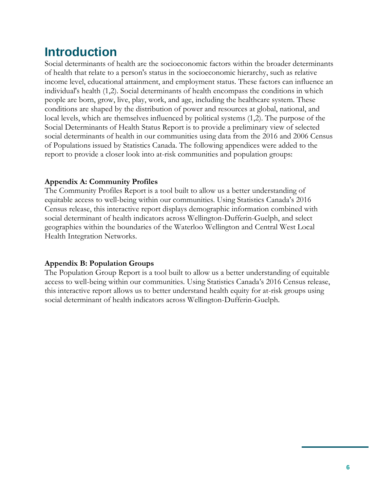# **Introduction**

Social determinants of health are the socioeconomic factors within the broader determinants of health that relate to a person's status in the socioeconomic hierarchy, such as relative income level, educational attainment, and employment status. These factors can influence an individual's health (1,2). Social determinants of health encompass the conditions in which people are born, grow, live, play, work, and age, including the healthcare system. These conditions are shaped by the distribution of power and resources at global, national, and local levels, which are themselves influenced by political systems (1,2). The purpose of the Social Determinants of Health Status Report is to provide a preliminary view of selected social determinants of health in our communities using data from the 2016 and 2006 Census of Populations issued by Statistics Canada. The following appendices were added to the report to provide a closer look into at-risk communities and population groups:

#### **Appendix A: Community Profiles**

The Community Profiles Report is a tool built to allow us a better understanding of equitable access to well-being within our communities. Using Statistics Canada's 2016 Census release, this interactive report displays demographic information combined with social determinant of health indicators across Wellington-Dufferin-Guelph, and select geographies within the boundaries of the Waterloo Wellington and Central West Local Health Integration Networks.

#### **Appendix B: Population Groups**

The Population Group Report is a tool built to allow us a better understanding of equitable access to well-being within our communities. Using Statistics Canada's 2016 Census release, this interactive report allows us to better understand health equity for at-risk groups using social determinant of health indicators across Wellington-Dufferin-Guelph.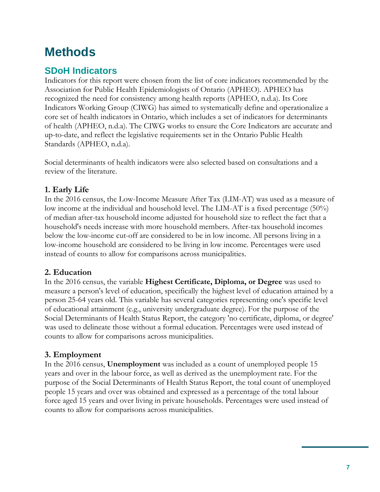# **Methods**

# **SDoH Indicators**

Indicators for this report were chosen from the list of core indicators recommended by the Association for Public Health Epidemiologists of Ontario (APHEO). APHEO has recognized the need for consistency among health reports (APHEO, n.d.a). Its Core Indicators Working Group (CIWG) has aimed to systematically define and operationalize a core set of health indicators in Ontario, which includes a set of indicators for determinants of health (APHEO, n.d.a). The CIWG works to ensure the Core Indicators are accurate and up-to-date, and reflect the legislative requirements set in the Ontario Public Health Standards (APHEO, n.d.a).

Social determinants of health indicators were also selected based on consultations and a review of the literature.

# **1. Early Life**

In the 2016 census, the Low-Income Measure After Tax (LIM-AT) was used as a measure of low income at the individual and household level. The LIM-AT is a fixed percentage (50%) of median after-tax household income adjusted for household size to reflect the fact that a household's needs increase with more household members. After-tax household incomes below the low-income cut-off are considered to be in low income. All persons living in a low-income household are considered to be living in low income. Percentages were used instead of counts to allow for comparisons across municipalities.

# **2. Education**

In the 2016 census, the variable **Highest Certificate, Diploma, or Degree** was used to measure a person's level of education, specifically the highest level of education attained by a person 25-64 years old. This variable has several categories representing one's specific level of educational attainment (e.g., university undergraduate degree). For the purpose of the Social Determinants of Health Status Report, the category 'no certificate, diploma, or degree' was used to delineate those without a formal education. Percentages were used instead of counts to allow for comparisons across municipalities.

# **3. Employment**

In the 2016 census, **Unemployment** was included as a count of unemployed people 15 years and over in the labour force, as well as derived as the unemployment rate. For the purpose of the Social Determinants of Health Status Report, the total count of unemployed people 15 years and over was obtained and expressed as a percentage of the total labour force aged 15 years and over living in private households. Percentages were used instead of counts to allow for comparisons across municipalities.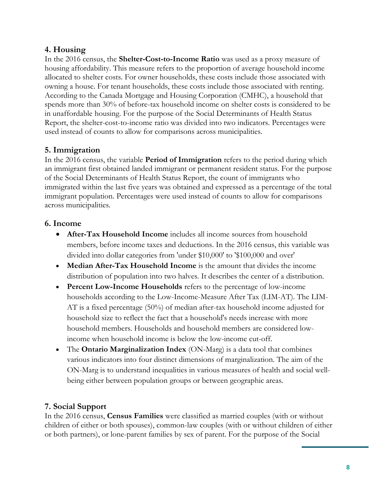# **4. Housing**

In the 2016 census, the **Shelter-Cost-to-Income Ratio** was used as a proxy measure of housing affordability. This measure refers to the proportion of average household income allocated to shelter costs. For owner households, these costs include those associated with owning a house. For tenant households, these costs include those associated with renting. According to the Canada Mortgage and Housing Corporation (CMHC), a household that spends more than 30% of before-tax household income on shelter costs is considered to be in unaffordable housing. For the purpose of the Social Determinants of Health Status Report, the shelter-cost-to-income ratio was divided into two indicators. Percentages were used instead of counts to allow for comparisons across municipalities.

# **5. Immigration**

In the 2016 census, the variable **Period of Immigration** refers to the period during which an immigrant first obtained landed immigrant or permanent resident status. For the purpose of the Social Determinants of Health Status Report, the count of immigrants who immigrated within the last five years was obtained and expressed as a percentage of the total immigrant population. Percentages were used instead of counts to allow for comparisons across municipalities.

# **6. Income**

- **After-Tax Household Income** includes all income sources from household members, before income taxes and deductions. In the 2016 census, this variable was divided into dollar categories from 'under \$10,000' to '\$100,000 and over'
- **Median After-Tax Household Income** is the amount that divides the income distribution of population into two halves. It describes the center of a distribution.
- **Percent Low-Income Households** refers to the percentage of low-income households according to the Low-Income-Measure After Tax (LIM-AT). The LIM-AT is a fixed percentage (50%) of median after-tax household income adjusted for household size to reflect the fact that a household's needs increase with more household members. Households and household members are considered lowincome when household income is below the low-income cut-off.
- The **Ontario Marginalization Index** (ON-Marg) is a data tool that combines various indicators into four distinct dimensions of marginalization. The aim of the ON-Marg is to understand inequalities in various measures of health and social wellbeing either between population groups or between geographic areas.

# **7. Social Support**

In the 2016 census, **Census Families** were classified as married couples (with or without children of either or both spouses), common-law couples (with or without children of either or both partners), or lone-parent families by sex of parent. For the purpose of the Social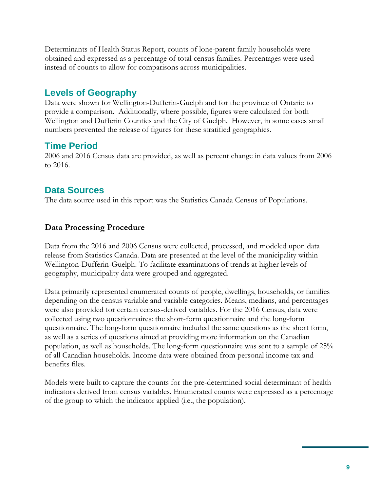Determinants of Health Status Report, counts of lone-parent family households were obtained and expressed as a percentage of total census families. Percentages were used instead of counts to allow for comparisons across municipalities.

# **Levels of Geography**

Data were shown for Wellington-Dufferin-Guelph and for the province of Ontario to provide a comparison. Additionally, where possible, figures were calculated for both Wellington and Dufferin Counties and the City of Guelph. However, in some cases small numbers prevented the release of figures for these stratified geographies.

# **Time Period**

2006 and 2016 Census data are provided, as well as percent change in data values from 2006 to 2016.

# **Data Sources**

The data source used in this report was the Statistics Canada Census of Populations.

# **Data Processing Procedure**

Data from the 2016 and 2006 Census were collected, processed, and modeled upon data release from Statistics Canada. Data are presented at the level of the municipality within Wellington-Dufferin-Guelph. To facilitate examinations of trends at higher levels of geography, municipality data were grouped and aggregated.

Data primarily represented enumerated counts of people, dwellings, households, or families depending on the census variable and variable categories. Means, medians, and percentages were also provided for certain census-derived variables. For the 2016 Census, data were collected using two questionnaires: the short-form questionnaire and the long-form questionnaire. The long-form questionnaire included the same questions as the short form, as well as a series of questions aimed at providing more information on the Canadian population, as well as households. The long-form questionnaire was sent to a sample of 25% of all Canadian households. Income data were obtained from personal income tax and benefits files.

Models were built to capture the counts for the pre-determined social determinant of health indicators derived from census variables. Enumerated counts were expressed as a percentage of the group to which the indicator applied (i.e., the population).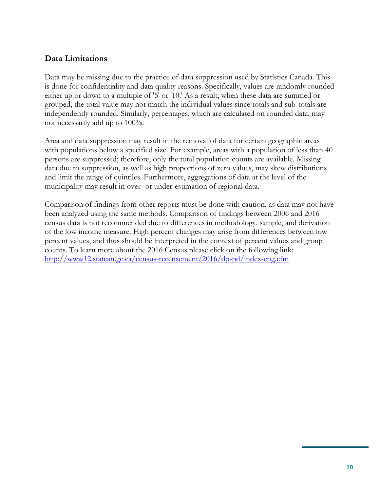#### **Data Limitations**

Data may be missing due to the practice of data suppression used by Statistics Canada. This is done for confidentiality and data quality reasons. Specifically, values are randomly rounded either up or down to a multiple of '5' or '10.' As a result, when these data are summed or grouped, the total value may not match the individual values since totals and sub-totals are independently rounded. Similarly, percentages, which are calculated on rounded data, may not necessarily add up to 100%.

Area and data suppression may result in the removal of data for certain geographic areas with populations below a specified size. For example, areas with a population of less than 40 persons are suppressed; therefore, only the total population counts are available. Missing data due to suppression, as well as high proportions of zero values, may skew distributions and limit the range of quintiles. Furthermore, aggregations of data at the level of the municipality may result in over- or under-estimation of regional data.

Comparison of findings from other reports must be done with caution, as data may not have been analyzed using the same methods. Comparison of findings between 2006 and 2016 census data is not recommended due to differences in methodology, sample, and derivation of the low income measure. High percent changes may arise from differences between low percent values, and thus should be interpreted in the context of percent values and group counts. To learn more about the 2016 Census please click on the following link: <http://www12.statcan.gc.ca/census-recensement/2016/dp-pd/index-eng.cfm>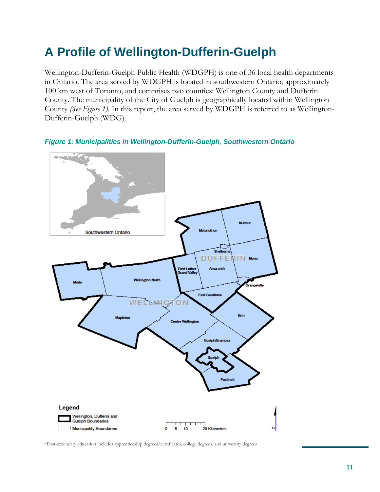# **A Profile of Wellington-Dufferin-Guelph**

Wellington-Dufferin-Guelph Public Health (WDGPH) is one of 36 local health departments in Ontario. The area served by WDGPH is located in southwestern Ontario, approximately 100 km west of Toronto, and comprises two counties: Wellington County and Dufferin County. The municipality of the City of Guelph is geographically located within Wellington County *(See Figure 1).* In this report, the area served by WDGPH is referred to as Wellington-Dufferin-Guelph (WDG).





\*Post-secondary education includes apprenticeship degrees/certificates, college degrees, and university degrees